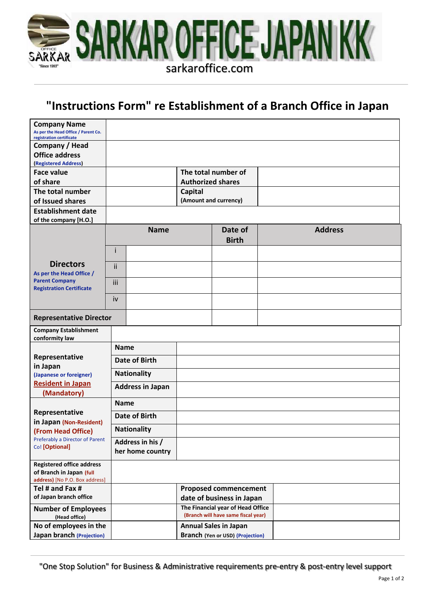

# **"Instructions Form" re Establishment of a Branch Office in Japan**

| <b>Company Name</b><br>As per the Head Office / Parent Co.<br>registration certificate                               |                                      |  |                                                                          |                         |                |
|----------------------------------------------------------------------------------------------------------------------|--------------------------------------|--|--------------------------------------------------------------------------|-------------------------|----------------|
| Company / Head<br><b>Office address</b><br>(Registered Address)                                                      |                                      |  |                                                                          |                         |                |
| <b>Face value</b>                                                                                                    |                                      |  | The total number of                                                      |                         |                |
| of share                                                                                                             |                                      |  | <b>Authorized shares</b>                                                 |                         |                |
| The total number                                                                                                     |                                      |  | <b>Capital</b><br>(Amount and currency)                                  |                         |                |
| of Issued shares<br><b>Establishment date</b>                                                                        |                                      |  |                                                                          |                         |                |
| of the company [H.O.]                                                                                                |                                      |  |                                                                          |                         |                |
| <b>Directors</b><br>As per the Head Office /<br><b>Parent Company</b><br><b>Registration Certificate</b>             | <b>Name</b>                          |  |                                                                          | Date of<br><b>Birth</b> | <b>Address</b> |
|                                                                                                                      | i                                    |  |                                                                          |                         |                |
|                                                                                                                      | ii                                   |  |                                                                          |                         |                |
|                                                                                                                      | iii                                  |  |                                                                          |                         |                |
|                                                                                                                      | iv                                   |  |                                                                          |                         |                |
| <b>Representative Director</b>                                                                                       |                                      |  |                                                                          |                         |                |
| <b>Company Establishment</b><br>conformity law                                                                       |                                      |  |                                                                          |                         |                |
| Representative<br>in Japan<br>(Japanese or foreigner)<br><b>Resident in Japan</b><br>(Mandatory)                     | <b>Name</b>                          |  |                                                                          |                         |                |
|                                                                                                                      | <b>Date of Birth</b>                 |  |                                                                          |                         |                |
|                                                                                                                      | <b>Nationality</b>                   |  |                                                                          |                         |                |
|                                                                                                                      | <b>Address in Japan</b>              |  |                                                                          |                         |                |
| Representative<br>in Japan (Non-Resident)<br>(From Head Office)<br>Preferably a Director of Parent<br>Co! [Optional] | <b>Name</b>                          |  |                                                                          |                         |                |
|                                                                                                                      | Date of Birth                        |  |                                                                          |                         |                |
|                                                                                                                      | <b>Nationality</b>                   |  |                                                                          |                         |                |
|                                                                                                                      | Address in his /<br>her home country |  |                                                                          |                         |                |
| <b>Registered office address</b><br>of Branch in Japan (full<br>address) [No P.O. Box address]                       |                                      |  |                                                                          |                         |                |
| Tel # and Fax #<br>of Japan branch office                                                                            |                                      |  | <b>Proposed commencement</b><br>date of business in Japan                |                         |                |
| <b>Number of Employees</b><br>(Head office)                                                                          |                                      |  | The Financial year of Head Office<br>(Branch will have same fiscal year) |                         |                |
| No of employees in the<br><b>Japan branch (Projection)</b>                                                           |                                      |  | <b>Annual Sales in Japan</b><br><b>Branch (Yen or USD) (Projection)</b>  |                         |                |

"One Stop Solution" for Business & Administrative requirements pre-entry & post-entry level support